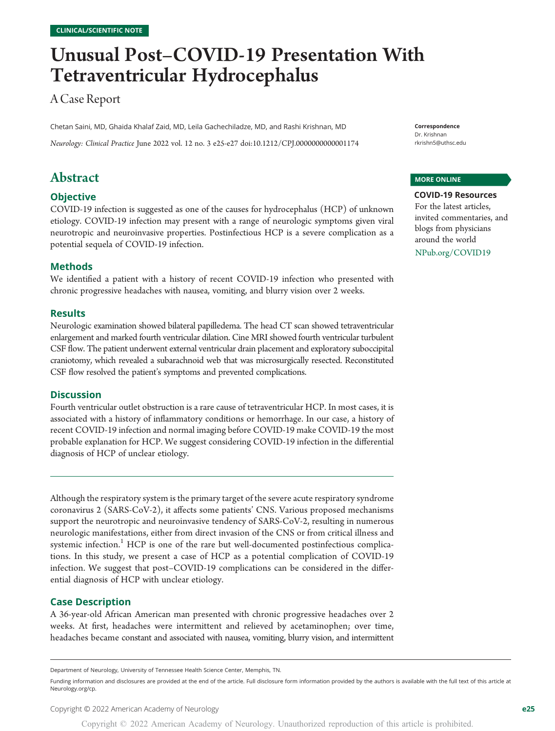# Unusual Post–COVID-19 Presentation With Tetraventricular Hydrocephalus

# A Case Report

Chetan Saini, MD, Ghaida Khalaf Zaid, MD, Leila Gachechiladze, MD, and Rashi Krishnan, MD

Neurology: Clinical Practice June 2022 vol. 12 no. 3 e25-e27 doi[:10.1212/CPJ.0000000000001174](http://dx.doi.org/10.1212/CPJ.0000000000001174)

# Abstract

## **Objective**

COVID-19 infection is suggested as one of the causes for hydrocephalus (HCP) of unknown etiology. COVID-19 infection may present with a range of neurologic symptoms given viral neurotropic and neuroinvasive properties. Postinfectious HCP is a severe complication as a potential sequela of COVID-19 infection.

#### Methods

We identified a patient with a history of recent COVID-19 infection who presented with chronic progressive headaches with nausea, vomiting, and blurry vision over 2 weeks.

#### Results

Neurologic examination showed bilateral papilledema. The head CT scan showed tetraventricular enlargement and marked fourth ventricular dilation. Cine MRI showed fourth ventricular turbulent CSF flow. The patient underwent external ventricular drain placement and exploratory suboccipital craniotomy, which revealed a subarachnoid web that was microsurgically resected. Reconstituted CSF flow resolved the patient's symptoms and prevented complications.

#### **Discussion**

Fourth ventricular outlet obstruction is a rare cause of tetraventricular HCP. In most cases, it is associated with a history of inflammatory conditions or hemorrhage. In our case, a history of recent COVID-19 infection and normal imaging before COVID-19 make COVID-19 the most probable explanation for HCP. We suggest considering COVID-19 infection in the differential diagnosis of HCP of unclear etiology.

Although the respiratory system is the primary target of the severe acute respiratory syndrome coronavirus 2 (SARS-CoV-2), it affects some patients' CNS. Various proposed mechanisms support the neurotropic and neuroinvasive tendency of SARS-CoV-2, resulting in numerous neurologic manifestations, either from direct invasion of the CNS or from critical illness and systemic infection.<sup>1</sup> HCP is one of the rare but well-documented postinfectious complications. In this study, we present a case of HCP as a potential complication of COVID-19 infection. We suggest that post–COVID-19 complications can be considered in the differential diagnosis of HCP with unclear etiology.

#### Case Description

A 36-year-old African American man presented with chronic progressive headaches over 2 weeks. At first, headaches were intermittent and relieved by acetaminophen; over time, headaches became constant and associated with nausea, vomiting, blurry vision, and intermittent Correspondence Dr. Krishnan [rkrishn5@uthsc.edu](mailto:rkrishn5@uthsc.edu)

#### MORE ONLINE

COVID-19 Resources For the latest articles, invited commentaries, and blogs from physicians around the world [NPub.org/COVID19](http://NPub.org/COVID19)

Department of Neurology, University of Tennessee Health Science Center, Memphis, TN.

Funding information and disclosures are provided at the end of the article. Full disclosure form information provided by the authors is available with the full text of this article at [Neurology.org/cp.](https://cp.neurology.org/lookup/doi/10.1212/CPJ.0000000000001174)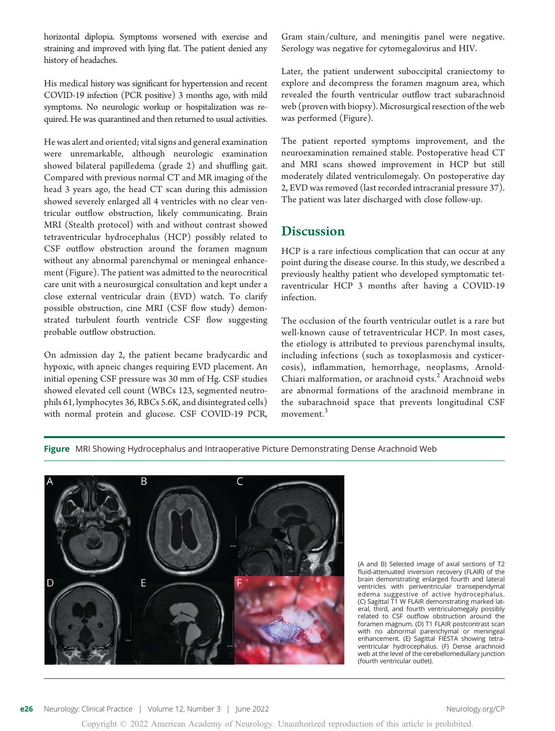horizontal diplopia. Symptoms worsened with exercise and straining and improved with lying flat. The patient denied any history of headaches.

His medical history was significant for hypertension and recent COVID-19 infection (PCR positive) 3 months ago, with mild symptoms. No neurologic workup or hospitalization was required. He was quarantined and then returned to usual activities.

He was alert and oriented; vital signs and general examination were unremarkable, although neurologic examination showed bilateral papilledema (grade 2) and shuffling gait. Compared with previous normal CT and MR imaging of the head 3 years ago, the head CT scan during this admission showed severely enlarged all 4 ventricles with no clear ventricular outflow obstruction, likely communicating. Brain MRI (Stealth protocol) with and without contrast showed tetraventricular hydrocephalus (HCP) possibly related to CSF outflow obstruction around the foramen magnum without any abnormal parenchymal or meningeal enhancement (Figure). The patient was admitted to the neurocritical care unit with a neurosurgical consultation and kept under a close external ventricular drain (EVD) watch. To clarify possible obstruction, cine MRI (CSF flow study) demonstrated turbulent fourth ventricle CSF flow suggesting probable outflow obstruction.

On admission day 2, the patient became bradycardic and hypoxic, with apneic changes requiring EVD placement. An initial opening CSF pressure was 30 mm of Hg. CSF studies showed elevated cell count (WBCs 123, segmented neutrophils 61, lymphocytes 36, RBCs 5.6K, and disintegrated cells) with normal protein and glucose. CSF COVID-19 PCR, Gram stain/culture, and meningitis panel were negative. Serology was negative for cytomegalovirus and HIV.

Later, the patient underwent suboccipital craniectomy to explore and decompress the foramen magnum area, which revealed the fourth ventricular outflow tract subarachnoid web (proven with biopsy). Microsurgical resection of the web was performed (Figure).

The patient reported symptoms improvement, and the neuroexamination remained stable. Postoperative head CT and MRI scans showed improvement in HCP but still moderately dilated ventriculomegaly. On postoperative day 2, EVD was removed (last recorded intracranial pressure 37). The patient was later discharged with close follow-up.

# **Discussion**

HCP is a rare infectious complication that can occur at any point during the disease course. In this study, we described a previously healthy patient who developed symptomatic tetraventricular HCP 3 months after having a COVID-19 infection.

The occlusion of the fourth ventricular outlet is a rare but well-known cause of tetraventricular HCP. In most cases, the etiology is attributed to previous parenchymal insults, including infections (such as toxoplasmosis and cysticercosis), inflammation, hemorrhage, neoplasms, Arnold-Chiari malformation, or arachnoid cysts. $<sup>2</sup>$  Arachnoid webs</sup> are abnormal formations of the arachnoid membrane in the subarachnoid space that prevents longitudinal CSF movement.<sup>3</sup>

Figure MRI Showing Hydrocephalus and Intraoperative Picture Demonstrating Dense Arachnoid Web



(A and B) Selected image of axial sections of T2 fluid-attenuated inversion recovery (FLAIR) of the brain demonstrating enlarged fourth and lateral ventricles with periventricular transependymal edema suggestive of active hydrocephalus. (C) Sagittal T1 W FLAIR demonstrating marked lateral, third, and fourth ventriculomegaly possibly related to CSF outflow obstruction around the foramen magnum. (D) T1 FLAIR postcontrast scan with no abnormal parenchymal or meningeal enhancement. (E) Sagittal FIESTA showing tetraventricular hydrocephalus. (F) Dense arachnoid web at the level of the cerebellomedullary junction (fourth ventricular outlet).

Copyright © 2022 American Academy of Neurology. Unauthorized reproduction of this article is prohibited.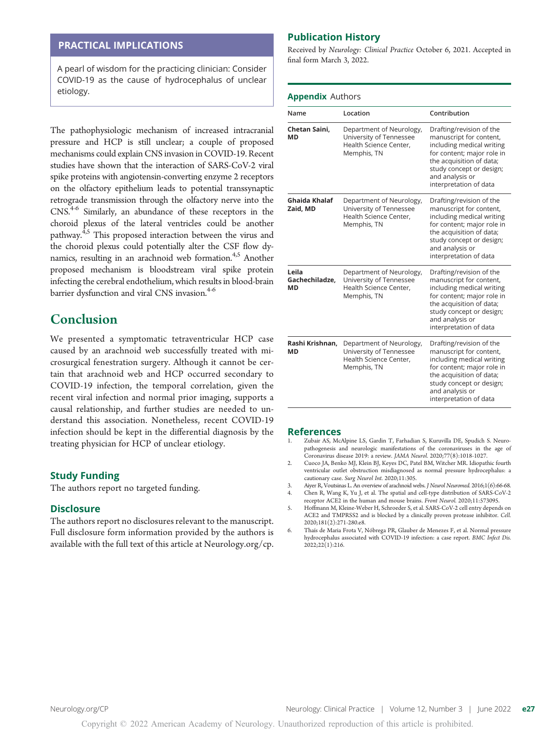#### PRACTICAL IMPLICATIONS

A pearl of wisdom for the practicing clinician: Consider COVID-19 as the cause of hydrocephalus of unclear etiology.

The pathophysiologic mechanism of increased intracranial pressure and HCP is still unclear; a couple of proposed mechanisms could explain CNS invasion in COVID-19. Recent studies have shown that the interaction of SARS-CoV-2 viral spike proteins with angiotensin-converting enzyme 2 receptors on the olfactory epithelium leads to potential transsynaptic retrograde transmission through the olfactory nerve into the CNS.4-6 Similarly, an abundance of these receptors in the choroid plexus of the lateral ventricles could be another pathway.<sup>4,5</sup> This proposed interaction between the virus and the choroid plexus could potentially alter the CSF flow dynamics, resulting in an arachnoid web formation.<sup>4,5</sup> Another proposed mechanism is bloodstream viral spike protein infecting the cerebral endothelium, which results in blood-brain barrier dysfunction and viral CNS invasion.<sup>4-6</sup>

# Conclusion

We presented a symptomatic tetraventricular HCP case caused by an arachnoid web successfully treated with microsurgical fenestration surgery. Although it cannot be certain that arachnoid web and HCP occurred secondary to COVID-19 infection, the temporal correlation, given the recent viral infection and normal prior imaging, supports a causal relationship, and further studies are needed to understand this association. Nonetheless, recent COVID-19 infection should be kept in the differential diagnosis by the treating physician for HCP of unclear etiology.

#### Study Funding

The authors report no targeted funding.

#### Disclosure

The authors report no disclosures relevant to the manuscript. Full disclosure form information provided by the authors is available with the full text of this article at [Neurology.org/cp.](https://cp.neurology.org/lookup/doi/10.1212/CPJ.0000000000001174)

#### Publication History

Received by Neurology: Clinical Practice October 6, 2021. Accepted in final form March 3, 2022.

#### **Appendix Authors**

| Name                          | Location                                                                                     | Contribution                                                                                                                                                                                                        |
|-------------------------------|----------------------------------------------------------------------------------------------|---------------------------------------------------------------------------------------------------------------------------------------------------------------------------------------------------------------------|
| Chetan Saini,<br>МD           | Department of Neurology,<br>University of Tennessee<br>Health Science Center,<br>Memphis, TN | Drafting/revision of the<br>manuscript for content,<br>including medical writing<br>for content; major role in<br>the acquisition of data;<br>study concept or design;<br>and analysis or<br>interpretation of data |
| Ghaida Khalaf<br>Zaid. MD     | Department of Neurology,<br>University of Tennessee<br>Health Science Center.<br>Memphis, TN | Drafting/revision of the<br>manuscript for content,<br>including medical writing<br>for content; major role in<br>the acquisition of data;<br>study concept or design;<br>and analysis or<br>interpretation of data |
| Leila<br>Gachechiladze.<br>МD | Department of Neurology,<br>University of Tennessee<br>Health Science Center.<br>Memphis, TN | Drafting/revision of the<br>manuscript for content,<br>including medical writing<br>for content; major role in<br>the acquisition of data;<br>study concept or design;<br>and analysis or<br>interpretation of data |
| Rashi Krishnan.<br>МD         | Department of Neurology,<br>University of Tennessee<br>Health Science Center,<br>Memphis, TN | Drafting/revision of the<br>manuscript for content,<br>including medical writing<br>for content; major role in<br>the acquisition of data;<br>study concept or design;<br>and analysis or<br>interpretation of data |

#### References

- Zubair AS, McAlpine LS, Gardin T, Farhadian S, Kuruvilla DE, Spudich S. Neuropathogenesis and neurologic manifestations of the coronaviruses in the age of Coronavirus disease 2019: a review. JAMA Neurol. 2020;77(8):1018-1027.
- 2. Cuoco JA, Benko MJ, Klein BJ, Keyes DC, Patel BM, Witcher MR. Idiopathic fourth ventricular outlet obstruction misdiagnosed as normal pressure hydrocephalus: a cautionary case. Surg Neurol Int. 2020;11:305.
- 3. Aiyer R, Voutsinas L. An overview of arachnoid webs. J Neurol Neuromed. 2016;1(6):66-68. 4. Chen R, Wang K, Yu J, et al. The spatial and cell-type distribution of SARS-CoV-2
- receptor ACE2 in the human and mouse brains. Front Neurol. 2020;11:573095. 5. Hoffmann M, Kleine-Weber H, Schroeder S, et al. SARS-CoV-2 cell entry depends on
- ACE2 and TMPRSS2 and is blocked by a clinically proven protease inhibitor. Cell. 2020;181(2):271-280.e8.
- 6. Thaís de Maria Frota V, Nóbrega PR, Glauber de Menezes F, et al. Normal pressure hydrocephalus associated with COVID-19 infection: a case report. BMC Infect Dis. 2022;22(1):216.